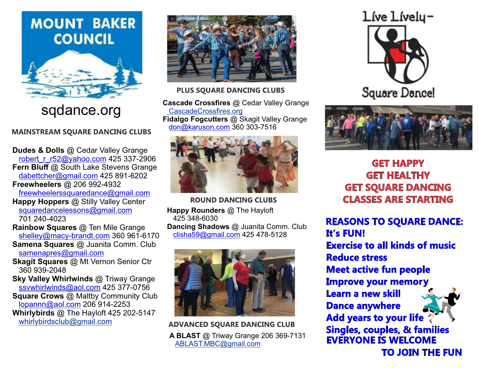# **MOUNT BAKER COUNCIL**



sqdance.org

**MAINSTREAM SQUARE DANCING CLUBS** 

**Dudes & Dolls** @ Cedar Valley Grange robert\_r\_r52@yahoo.com 425 337-2906 **Fern Bluff** @ South Lake Stevens Grange dabettcher@gmail.com 425 891-6202 **Freewheelers** @ 206 992-4932 freewheelerssquaredance@gmail.com

**Happy Hoppers** @ Stilly Valley Center squaredancelessons@gmail.com 701 240-4023

**Rainbow Squares** @ Ten Mile Grange shelley@macy-brandt.com 360 961-6170 **Samena Squares** @ Juanita Comm. Club

samenapres@gmail.com

**Skagit Squares** @ Mt Vernon Senior Ctr 360 939-2048

**Sky Valley Whirlwinds** @ Triway Grange ssvwhirlwinds@aol.com 425 377-0756

**Square Crows** @ Maltby Community Club lopannn@aol.com 206 914-2253 **Whirlybirds** @ The Hayloft 425 202-5147 whirlybirdsclub@gmail.com



**PLUS SQUARE DANCING CLUBS** 

**Cascade Crossfires** @ Cedar Valley Grange CascadeCrossfires.org **Fidalgo Fogcutters** @ Skagit Valley Grange don@karuson.com 360 303-7516



**ROUND DANCING CLUBS Happy Rounders** @ The Hayloft 425 348-6030 **Dancing Shadows** @ Juanita Comm. Club clisha59@gmail.com 425 478-5128



**ADVANCED SQUARE DANCING CLUB A BLAST** @ Triway Grange 206 369-7131 ABLAST.MBC@gmail.com





**GET HAPPY GET HEALTHY GET SQUARE DANCING CLASSES ARE STARTING** 

**REASONS TO SQUARE DANCE: It's FUN! Exercise to all kinds of music Reduce stress Meet active fun people Improve your memory** Learn a new skill **Dance anywhere Add years to your life Singles, couples, & families EVERYONE IS WELCOME TO JOIN THE FUN**